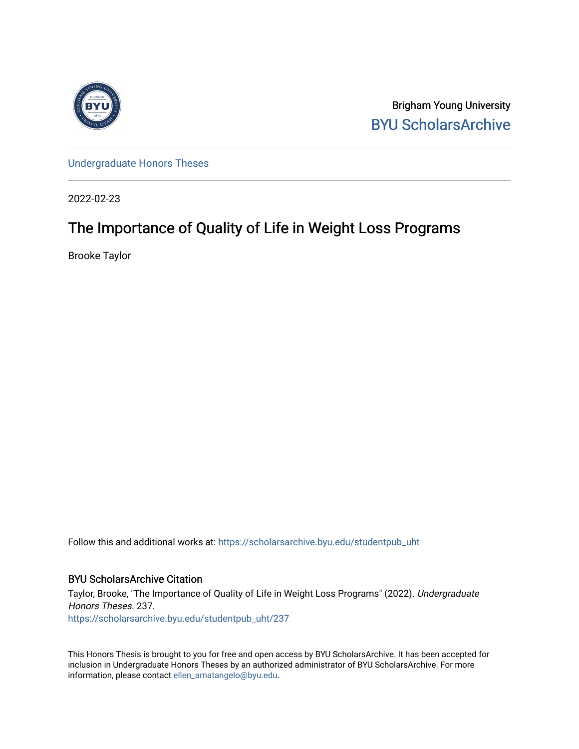

Brigham Young University [BYU ScholarsArchive](https://scholarsarchive.byu.edu/) 

[Undergraduate Honors Theses](https://scholarsarchive.byu.edu/studentpub_uht) 

2022-02-23

# The Importance of Quality of Life in Weight Loss Programs

Brooke Taylor

Follow this and additional works at: [https://scholarsarchive.byu.edu/studentpub\\_uht](https://scholarsarchive.byu.edu/studentpub_uht?utm_source=scholarsarchive.byu.edu%2Fstudentpub_uht%2F237&utm_medium=PDF&utm_campaign=PDFCoverPages) 

# BYU ScholarsArchive Citation

Taylor, Brooke, "The Importance of Quality of Life in Weight Loss Programs" (2022). Undergraduate Honors Theses. 237. [https://scholarsarchive.byu.edu/studentpub\\_uht/237](https://scholarsarchive.byu.edu/studentpub_uht/237?utm_source=scholarsarchive.byu.edu%2Fstudentpub_uht%2F237&utm_medium=PDF&utm_campaign=PDFCoverPages)

This Honors Thesis is brought to you for free and open access by BYU ScholarsArchive. It has been accepted for inclusion in Undergraduate Honors Theses by an authorized administrator of BYU ScholarsArchive. For more information, please contact [ellen\\_amatangelo@byu.edu.](mailto:ellen_amatangelo@byu.edu)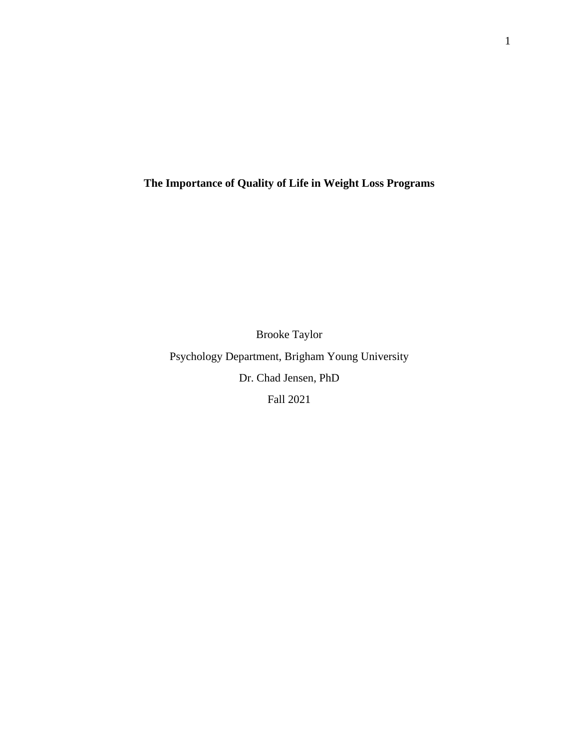**The Importance of Quality of Life in Weight Loss Programs**

Brooke Taylor Psychology Department, Brigham Young University Dr. Chad Jensen, PhD Fall 2021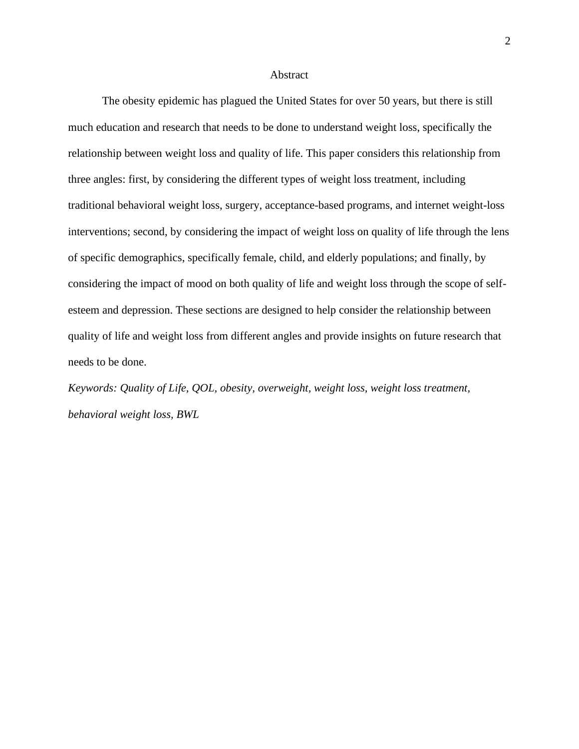## Abstract

The obesity epidemic has plagued the United States for over 50 years, but there is still much education and research that needs to be done to understand weight loss, specifically the relationship between weight loss and quality of life. This paper considers this relationship from three angles: first, by considering the different types of weight loss treatment, including traditional behavioral weight loss, surgery, acceptance-based programs, and internet weight-loss interventions; second, by considering the impact of weight loss on quality of life through the lens of specific demographics, specifically female, child, and elderly populations; and finally, by considering the impact of mood on both quality of life and weight loss through the scope of selfesteem and depression. These sections are designed to help consider the relationship between quality of life and weight loss from different angles and provide insights on future research that needs to be done.

*Keywords: Quality of Life, QOL, obesity, overweight, weight loss, weight loss treatment, behavioral weight loss, BWL*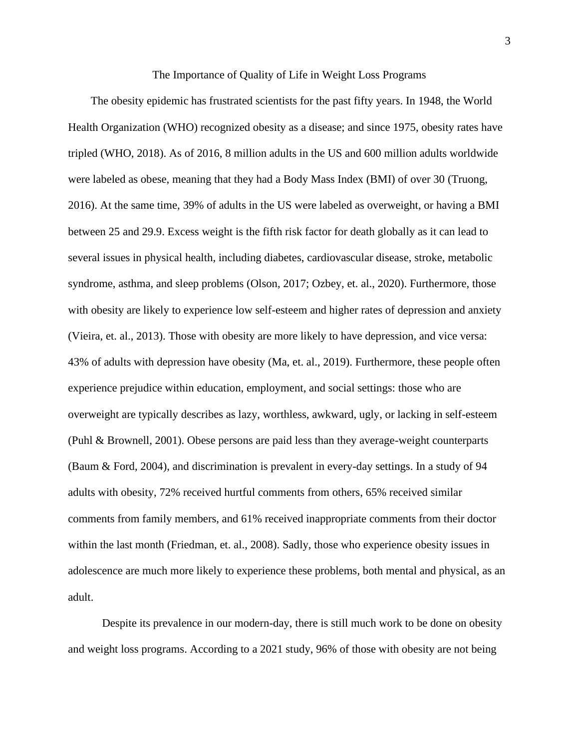#### The Importance of Quality of Life in Weight Loss Programs

 The obesity epidemic has frustrated scientists for the past fifty years. In 1948, the World Health Organization (WHO) recognized obesity as a disease; and since 1975, obesity rates have tripled (WHO, 2018). As of 2016, 8 million adults in the US and 600 million adults worldwide were labeled as obese, meaning that they had a Body Mass Index (BMI) of over 30 (Truong, 2016). At the same time, 39% of adults in the US were labeled as overweight, or having a BMI between 25 and 29.9. Excess weight is the fifth risk factor for death globally as it can lead to several issues in physical health, including diabetes, cardiovascular disease, stroke, metabolic syndrome, asthma, and sleep problems (Olson, 2017; Ozbey, et. al., 2020). Furthermore, those with obesity are likely to experience low self-esteem and higher rates of depression and anxiety (Vieira, et. al., 2013). Those with obesity are more likely to have depression, and vice versa: 43% of adults with depression have obesity (Ma, et. al., 2019). Furthermore, these people often experience prejudice within education, employment, and social settings: those who are overweight are typically describes as lazy, worthless, awkward, ugly, or lacking in self-esteem (Puhl & Brownell, 2001). Obese persons are paid less than they average-weight counterparts (Baum & Ford, 2004), and discrimination is prevalent in every-day settings. In a study of 94 adults with obesity, 72% received hurtful comments from others, 65% received similar comments from family members, and 61% received inappropriate comments from their doctor within the last month (Friedman, et. al., 2008). Sadly, those who experience obesity issues in adolescence are much more likely to experience these problems, both mental and physical, as an adult.

 Despite its prevalence in our modern-day, there is still much work to be done on obesity and weight loss programs. According to a 2021 study, 96% of those with obesity are not being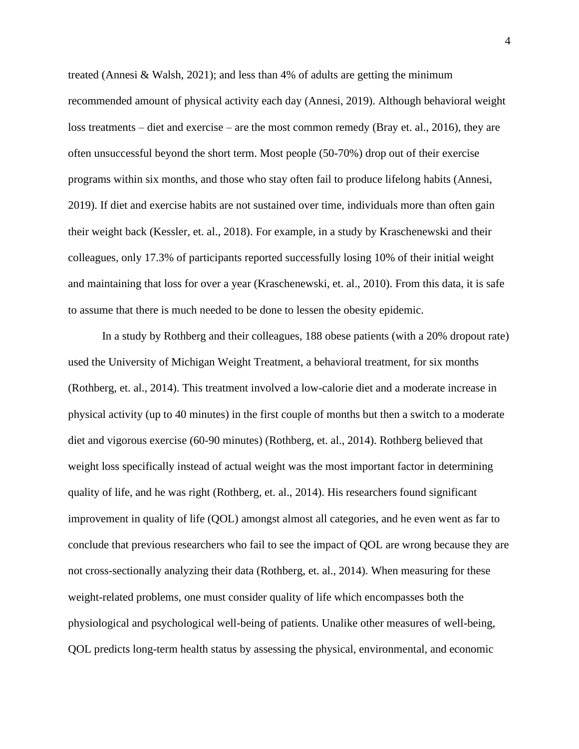treated (Annesi & Walsh, 2021); and less than 4% of adults are getting the minimum recommended amount of physical activity each day (Annesi, 2019). Although behavioral weight loss treatments – diet and exercise – are the most common remedy (Bray et. al., 2016), they are often unsuccessful beyond the short term. Most people (50-70%) drop out of their exercise programs within six months, and those who stay often fail to produce lifelong habits (Annesi, 2019). If diet and exercise habits are not sustained over time, individuals more than often gain their weight back (Kessler, et. al., 2018). For example, in a study by Kraschenewski and their colleagues, only 17.3% of participants reported successfully losing 10% of their initial weight and maintaining that loss for over a year (Kraschenewski, et. al., 2010). From this data, it is safe to assume that there is much needed to be done to lessen the obesity epidemic.

In a study by Rothberg and their colleagues, 188 obese patients (with a 20% dropout rate) used the University of Michigan Weight Treatment, a behavioral treatment, for six months (Rothberg, et. al., 2014). This treatment involved a low-calorie diet and a moderate increase in physical activity (up to 40 minutes) in the first couple of months but then a switch to a moderate diet and vigorous exercise (60-90 minutes) (Rothberg, et. al., 2014). Rothberg believed that weight loss specifically instead of actual weight was the most important factor in determining quality of life, and he was right (Rothberg, et. al., 2014). His researchers found significant improvement in quality of life (QOL) amongst almost all categories, and he even went as far to conclude that previous researchers who fail to see the impact of QOL are wrong because they are not cross-sectionally analyzing their data (Rothberg, et. al., 2014). When measuring for these weight-related problems, one must consider quality of life which encompasses both the physiological and psychological well-being of patients. Unalike other measures of well-being, QOL predicts long-term health status by assessing the physical, environmental, and economic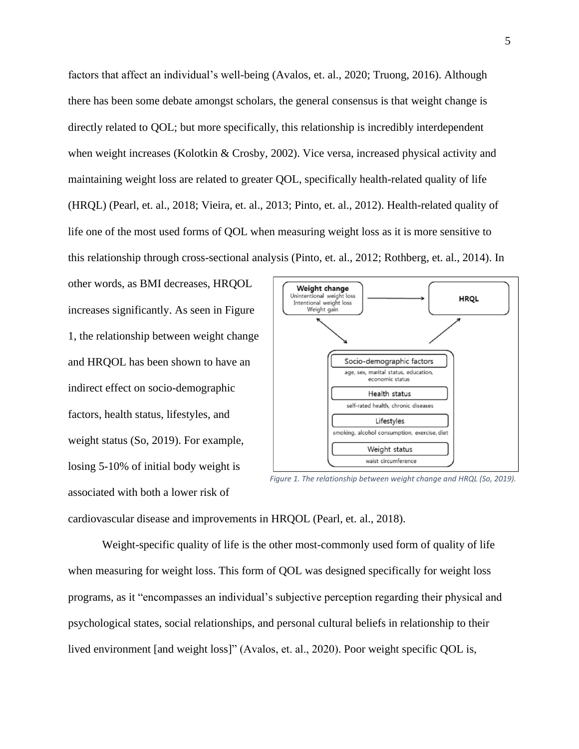factors that affect an individual's well-being (Avalos, et. al., 2020; Truong, 2016). Although there has been some debate amongst scholars, the general consensus is that weight change is directly related to QOL; but more specifically, this relationship is incredibly interdependent when weight increases (Kolotkin & Crosby, 2002). Vice versa, increased physical activity and maintaining weight loss are related to greater QOL, specifically health-related quality of life (HRQL) (Pearl, et. al., 2018; Vieira, et. al., 2013; Pinto, et. al., 2012). Health-related quality of life one of the most used forms of QOL when measuring weight loss as it is more sensitive to this relationship through cross-sectional analysis (Pinto, et. al., 2012; Rothberg, et. al., 2014). In

other words, as BMI decreases, HRQOL increases significantly. As seen in Figure 1, the relationship between weight change and HRQOL has been shown to have an indirect effect on socio-demographic factors, health status, lifestyles, and weight status (So, 2019). For example, losing 5-10% of initial body weight is associated with both a lower risk of



*Figure 1. The relationship between weight change and HRQL (So, 2019).*

cardiovascular disease and improvements in HRQOL (Pearl, et. al., 2018).

Weight-specific quality of life is the other most-commonly used form of quality of life when measuring for weight loss. This form of QOL was designed specifically for weight loss programs, as it "encompasses an individual's subjective perception regarding their physical and psychological states, social relationships, and personal cultural beliefs in relationship to their lived environment [and weight loss]" (Avalos, et. al., 2020). Poor weight specific QOL is,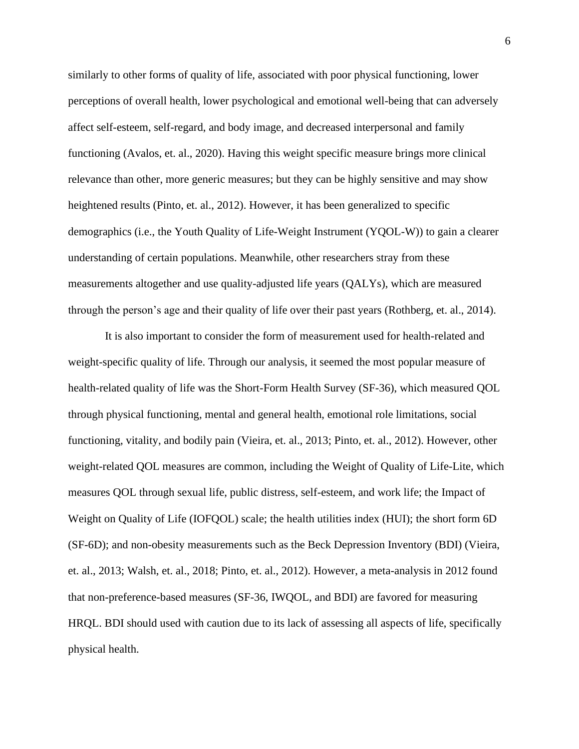similarly to other forms of quality of life, associated with poor physical functioning, lower perceptions of overall health, lower psychological and emotional well-being that can adversely affect self-esteem, self-regard, and body image, and decreased interpersonal and family functioning (Avalos, et. al., 2020). Having this weight specific measure brings more clinical relevance than other, more generic measures; but they can be highly sensitive and may show heightened results (Pinto, et. al., 2012). However, it has been generalized to specific demographics (i.e., the Youth Quality of Life-Weight Instrument (YQOL-W)) to gain a clearer understanding of certain populations. Meanwhile, other researchers stray from these measurements altogether and use quality-adjusted life years (QALYs), which are measured through the person's age and their quality of life over their past years (Rothberg, et. al., 2014).

It is also important to consider the form of measurement used for health-related and weight-specific quality of life. Through our analysis, it seemed the most popular measure of health-related quality of life was the Short-Form Health Survey (SF-36), which measured QOL through physical functioning, mental and general health, emotional role limitations, social functioning, vitality, and bodily pain (Vieira, et. al., 2013; Pinto, et. al., 2012). However, other weight-related QOL measures are common, including the Weight of Quality of Life-Lite, which measures QOL through sexual life, public distress, self-esteem, and work life; the Impact of Weight on Quality of Life (IOFQOL) scale; the health utilities index (HUI); the short form 6D (SF-6D); and non-obesity measurements such as the Beck Depression Inventory (BDI) (Vieira, et. al., 2013; Walsh, et. al., 2018; Pinto, et. al., 2012). However, a meta-analysis in 2012 found that non-preference-based measures (SF-36, IWQOL, and BDI) are favored for measuring HRQL. BDI should used with caution due to its lack of assessing all aspects of life, specifically physical health.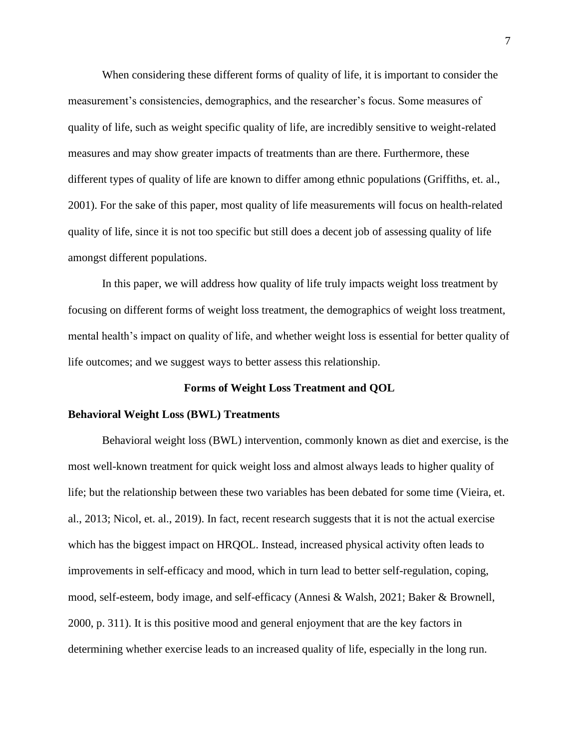When considering these different forms of quality of life, it is important to consider the measurement's consistencies, demographics, and the researcher's focus. Some measures of quality of life, such as weight specific quality of life, are incredibly sensitive to weight-related measures and may show greater impacts of treatments than are there. Furthermore, these different types of quality of life are known to differ among ethnic populations (Griffiths, et. al., 2001). For the sake of this paper, most quality of life measurements will focus on health-related quality of life, since it is not too specific but still does a decent job of assessing quality of life amongst different populations.

In this paper, we will address how quality of life truly impacts weight loss treatment by focusing on different forms of weight loss treatment, the demographics of weight loss treatment, mental health's impact on quality of life, and whether weight loss is essential for better quality of life outcomes; and we suggest ways to better assess this relationship.

## **Forms of Weight Loss Treatment and QOL**

#### **Behavioral Weight Loss (BWL) Treatments**

Behavioral weight loss (BWL) intervention, commonly known as diet and exercise, is the most well-known treatment for quick weight loss and almost always leads to higher quality of life; but the relationship between these two variables has been debated for some time (Vieira, et. al., 2013; Nicol, et. al., 2019). In fact, recent research suggests that it is not the actual exercise which has the biggest impact on HRQOL. Instead, increased physical activity often leads to improvements in self-efficacy and mood, which in turn lead to better self-regulation, coping, mood, self-esteem, body image, and self-efficacy (Annesi & Walsh, 2021; Baker & Brownell, 2000, p. 311). It is this positive mood and general enjoyment that are the key factors in determining whether exercise leads to an increased quality of life, especially in the long run.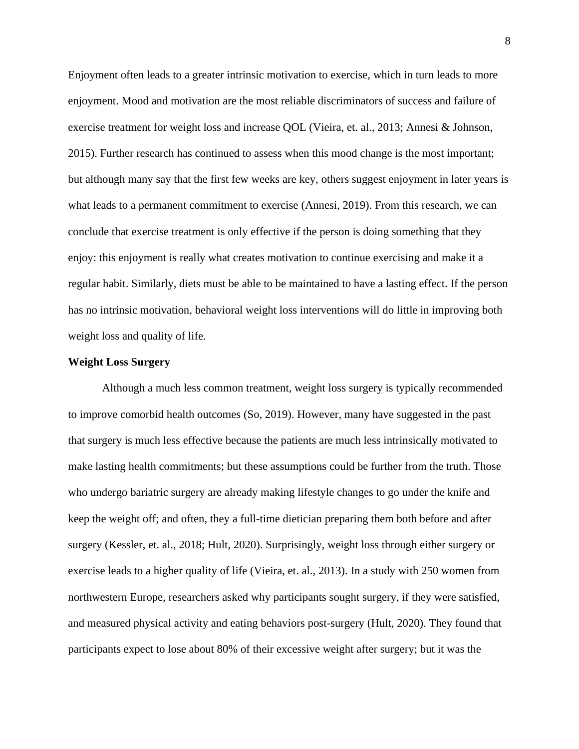Enjoyment often leads to a greater intrinsic motivation to exercise, which in turn leads to more enjoyment. Mood and motivation are the most reliable discriminators of success and failure of exercise treatment for weight loss and increase QOL (Vieira, et. al., 2013; Annesi & Johnson, 2015). Further research has continued to assess when this mood change is the most important; but although many say that the first few weeks are key, others suggest enjoyment in later years is what leads to a permanent commitment to exercise (Annesi, 2019). From this research, we can conclude that exercise treatment is only effective if the person is doing something that they enjoy: this enjoyment is really what creates motivation to continue exercising and make it a regular habit. Similarly, diets must be able to be maintained to have a lasting effect. If the person has no intrinsic motivation, behavioral weight loss interventions will do little in improving both weight loss and quality of life.

# **Weight Loss Surgery**

Although a much less common treatment, weight loss surgery is typically recommended to improve comorbid health outcomes (So, 2019). However, many have suggested in the past that surgery is much less effective because the patients are much less intrinsically motivated to make lasting health commitments; but these assumptions could be further from the truth. Those who undergo bariatric surgery are already making lifestyle changes to go under the knife and keep the weight off; and often, they a full-time dietician preparing them both before and after surgery (Kessler, et. al., 2018; Hult, 2020). Surprisingly, weight loss through either surgery or exercise leads to a higher quality of life (Vieira, et. al., 2013). In a study with 250 women from northwestern Europe, researchers asked why participants sought surgery, if they were satisfied, and measured physical activity and eating behaviors post-surgery (Hult, 2020). They found that participants expect to lose about 80% of their excessive weight after surgery; but it was the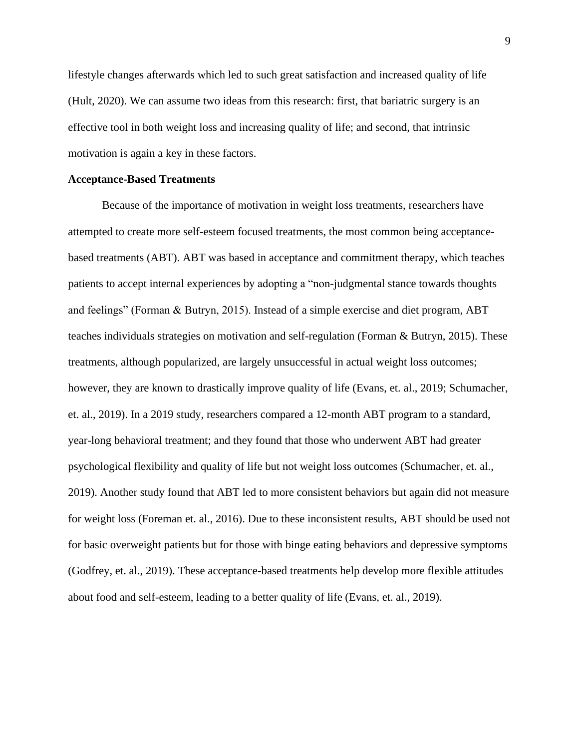lifestyle changes afterwards which led to such great satisfaction and increased quality of life (Hult, 2020). We can assume two ideas from this research: first, that bariatric surgery is an effective tool in both weight loss and increasing quality of life; and second, that intrinsic motivation is again a key in these factors.

#### **Acceptance-Based Treatments**

Because of the importance of motivation in weight loss treatments, researchers have attempted to create more self-esteem focused treatments, the most common being acceptancebased treatments (ABT). ABT was based in acceptance and commitment therapy, which teaches patients to accept internal experiences by adopting a "non-judgmental stance towards thoughts and feelings" (Forman & Butryn, 2015). Instead of a simple exercise and diet program, ABT teaches individuals strategies on motivation and self-regulation (Forman & Butryn, 2015). These treatments, although popularized, are largely unsuccessful in actual weight loss outcomes; however, they are known to drastically improve quality of life (Evans, et. al., 2019; Schumacher, et. al., 2019). In a 2019 study, researchers compared a 12-month ABT program to a standard, year-long behavioral treatment; and they found that those who underwent ABT had greater psychological flexibility and quality of life but not weight loss outcomes (Schumacher, et. al., 2019). Another study found that ABT led to more consistent behaviors but again did not measure for weight loss (Foreman et. al., 2016). Due to these inconsistent results, ABT should be used not for basic overweight patients but for those with binge eating behaviors and depressive symptoms (Godfrey, et. al., 2019). These acceptance-based treatments help develop more flexible attitudes about food and self-esteem, leading to a better quality of life (Evans, et. al., 2019).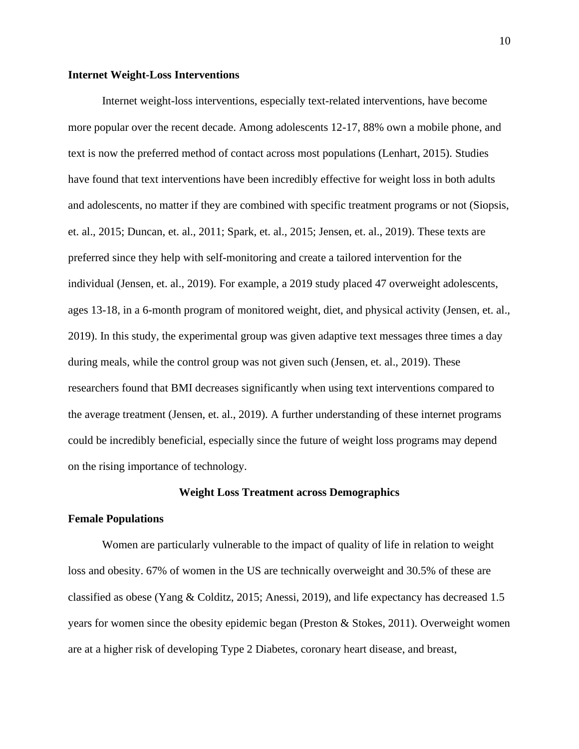# **Internet Weight-Loss Interventions**

Internet weight-loss interventions, especially text-related interventions, have become more popular over the recent decade. Among adolescents 12-17, 88% own a mobile phone, and text is now the preferred method of contact across most populations (Lenhart, 2015). Studies have found that text interventions have been incredibly effective for weight loss in both adults and adolescents, no matter if they are combined with specific treatment programs or not (Siopsis, et. al., 2015; Duncan, et. al., 2011; Spark, et. al., 2015; Jensen, et. al., 2019). These texts are preferred since they help with self-monitoring and create a tailored intervention for the individual (Jensen, et. al., 2019). For example, a 2019 study placed 47 overweight adolescents, ages 13-18, in a 6-month program of monitored weight, diet, and physical activity (Jensen, et. al., 2019). In this study, the experimental group was given adaptive text messages three times a day during meals, while the control group was not given such (Jensen, et. al., 2019). These researchers found that BMI decreases significantly when using text interventions compared to the average treatment (Jensen, et. al., 2019). A further understanding of these internet programs could be incredibly beneficial, especially since the future of weight loss programs may depend on the rising importance of technology.

## **Weight Loss Treatment across Demographics**

#### **Female Populations**

Women are particularly vulnerable to the impact of quality of life in relation to weight loss and obesity. 67% of women in the US are technically overweight and 30.5% of these are classified as obese (Yang & Colditz, 2015; Anessi, 2019), and life expectancy has decreased 1.5 years for women since the obesity epidemic began (Preston & Stokes, 2011). Overweight women are at a higher risk of developing Type 2 Diabetes, coronary heart disease, and breast,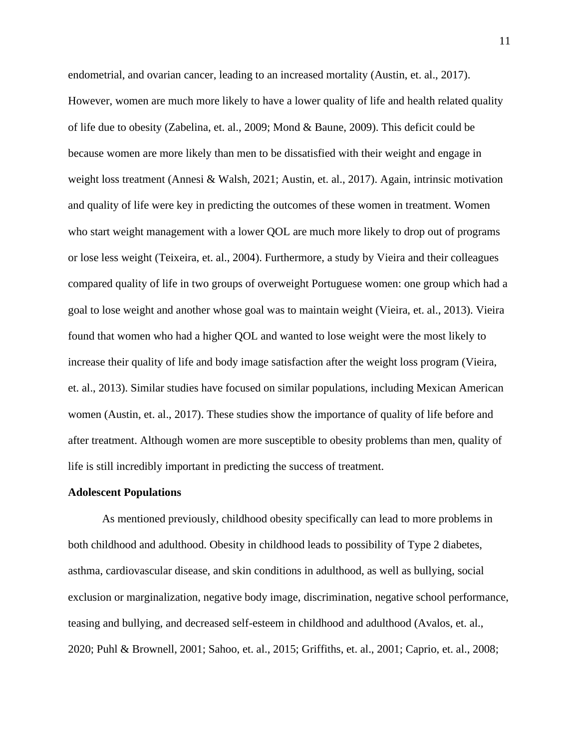endometrial, and ovarian cancer, leading to an increased mortality (Austin, et. al., 2017). However, women are much more likely to have a lower quality of life and health related quality of life due to obesity (Zabelina, et. al., 2009; Mond & Baune, 2009). This deficit could be because women are more likely than men to be dissatisfied with their weight and engage in weight loss treatment (Annesi & Walsh, 2021; Austin, et. al., 2017). Again, intrinsic motivation and quality of life were key in predicting the outcomes of these women in treatment. Women who start weight management with a lower QOL are much more likely to drop out of programs or lose less weight (Teixeira, et. al., 2004). Furthermore, a study by Vieira and their colleagues compared quality of life in two groups of overweight Portuguese women: one group which had a goal to lose weight and another whose goal was to maintain weight (Vieira, et. al., 2013). Vieira found that women who had a higher QOL and wanted to lose weight were the most likely to increase their quality of life and body image satisfaction after the weight loss program (Vieira, et. al., 2013). Similar studies have focused on similar populations, including Mexican American women (Austin, et. al., 2017). These studies show the importance of quality of life before and after treatment. Although women are more susceptible to obesity problems than men, quality of life is still incredibly important in predicting the success of treatment.

## **Adolescent Populations**

As mentioned previously, childhood obesity specifically can lead to more problems in both childhood and adulthood. Obesity in childhood leads to possibility of Type 2 diabetes, asthma, cardiovascular disease, and skin conditions in adulthood, as well as bullying, social exclusion or marginalization, negative body image, discrimination, negative school performance, teasing and bullying, and decreased self-esteem in childhood and adulthood (Avalos, et. al., 2020; Puhl & Brownell, 2001; Sahoo, et. al., 2015; Griffiths, et. al., 2001; Caprio, et. al., 2008;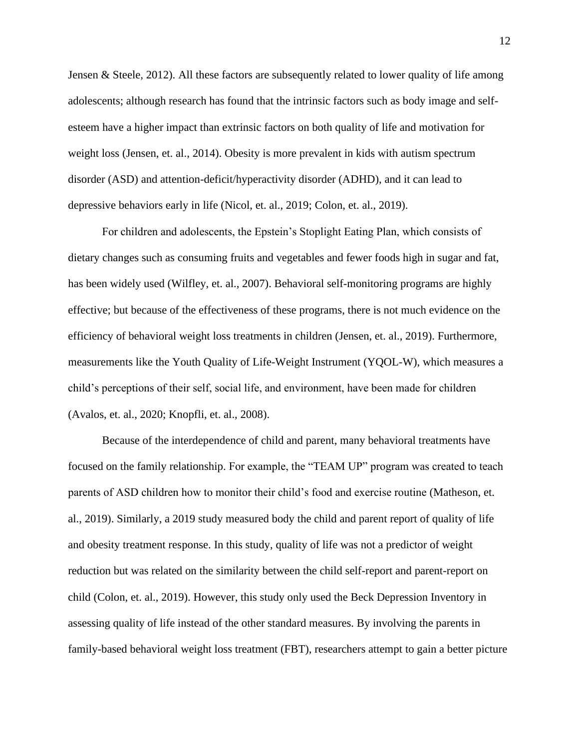Jensen & Steele, 2012). All these factors are subsequently related to lower quality of life among adolescents; although research has found that the intrinsic factors such as body image and selfesteem have a higher impact than extrinsic factors on both quality of life and motivation for weight loss (Jensen, et. al., 2014). Obesity is more prevalent in kids with autism spectrum disorder (ASD) and attention-deficit/hyperactivity disorder (ADHD), and it can lead to depressive behaviors early in life (Nicol, et. al., 2019; Colon, et. al., 2019).

For children and adolescents, the Epstein's Stoplight Eating Plan, which consists of dietary changes such as consuming fruits and vegetables and fewer foods high in sugar and fat, has been widely used (Wilfley, et. al., 2007). Behavioral self-monitoring programs are highly effective; but because of the effectiveness of these programs, there is not much evidence on the efficiency of behavioral weight loss treatments in children (Jensen, et. al., 2019). Furthermore, measurements like the Youth Quality of Life-Weight Instrument (YQOL-W), which measures a child's perceptions of their self, social life, and environment, have been made for children (Avalos, et. al., 2020; Knopfli, et. al., 2008).

Because of the interdependence of child and parent, many behavioral treatments have focused on the family relationship. For example, the "TEAM UP" program was created to teach parents of ASD children how to monitor their child's food and exercise routine (Matheson, et. al., 2019). Similarly, a 2019 study measured body the child and parent report of quality of life and obesity treatment response. In this study, quality of life was not a predictor of weight reduction but was related on the similarity between the child self-report and parent-report on child (Colon, et. al., 2019). However, this study only used the Beck Depression Inventory in assessing quality of life instead of the other standard measures. By involving the parents in family-based behavioral weight loss treatment (FBT), researchers attempt to gain a better picture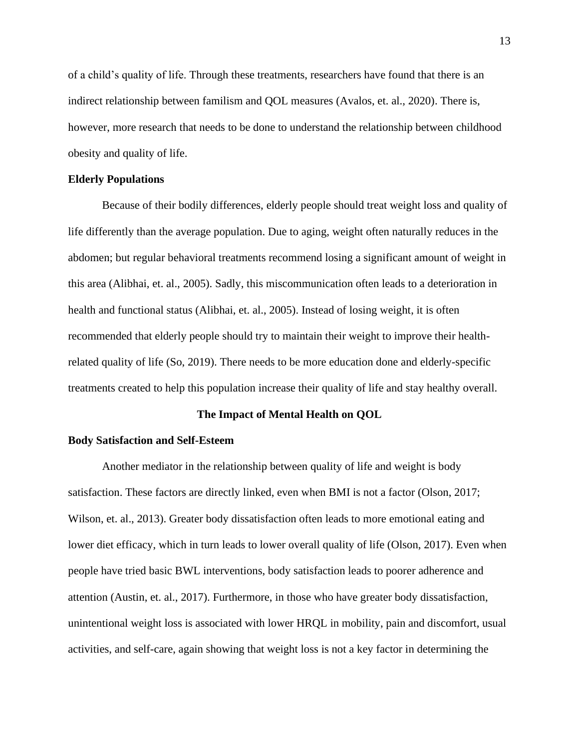of a child's quality of life. Through these treatments, researchers have found that there is an indirect relationship between familism and QOL measures (Avalos, et. al., 2020). There is, however, more research that needs to be done to understand the relationship between childhood obesity and quality of life.

# **Elderly Populations**

Because of their bodily differences, elderly people should treat weight loss and quality of life differently than the average population. Due to aging, weight often naturally reduces in the abdomen; but regular behavioral treatments recommend losing a significant amount of weight in this area (Alibhai, et. al., 2005). Sadly, this miscommunication often leads to a deterioration in health and functional status (Alibhai, et. al., 2005). Instead of losing weight, it is often recommended that elderly people should try to maintain their weight to improve their healthrelated quality of life (So, 2019). There needs to be more education done and elderly-specific treatments created to help this population increase their quality of life and stay healthy overall.

#### **The Impact of Mental Health on QOL**

#### **Body Satisfaction and Self-Esteem**

Another mediator in the relationship between quality of life and weight is body satisfaction. These factors are directly linked, even when BMI is not a factor (Olson, 2017; Wilson, et. al., 2013). Greater body dissatisfaction often leads to more emotional eating and lower diet efficacy, which in turn leads to lower overall quality of life (Olson, 2017). Even when people have tried basic BWL interventions, body satisfaction leads to poorer adherence and attention (Austin, et. al., 2017). Furthermore, in those who have greater body dissatisfaction, unintentional weight loss is associated with lower HRQL in mobility, pain and discomfort, usual activities, and self-care, again showing that weight loss is not a key factor in determining the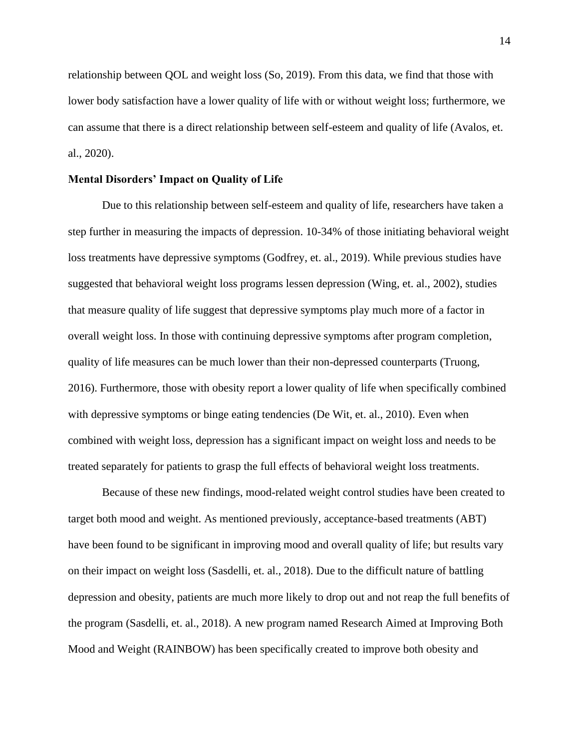relationship between QOL and weight loss (So, 2019). From this data, we find that those with lower body satisfaction have a lower quality of life with or without weight loss; furthermore, we can assume that there is a direct relationship between self-esteem and quality of life (Avalos, et. al., 2020).

# **Mental Disorders' Impact on Quality of Life**

Due to this relationship between self-esteem and quality of life, researchers have taken a step further in measuring the impacts of depression. 10-34% of those initiating behavioral weight loss treatments have depressive symptoms (Godfrey, et. al., 2019). While previous studies have suggested that behavioral weight loss programs lessen depression (Wing, et. al., 2002), studies that measure quality of life suggest that depressive symptoms play much more of a factor in overall weight loss. In those with continuing depressive symptoms after program completion, quality of life measures can be much lower than their non-depressed counterparts (Truong, 2016). Furthermore, those with obesity report a lower quality of life when specifically combined with depressive symptoms or binge eating tendencies (De Wit, et. al., 2010). Even when combined with weight loss, depression has a significant impact on weight loss and needs to be treated separately for patients to grasp the full effects of behavioral weight loss treatments.

Because of these new findings, mood-related weight control studies have been created to target both mood and weight. As mentioned previously, acceptance-based treatments (ABT) have been found to be significant in improving mood and overall quality of life; but results vary on their impact on weight loss (Sasdelli, et. al., 2018). Due to the difficult nature of battling depression and obesity, patients are much more likely to drop out and not reap the full benefits of the program (Sasdelli, et. al., 2018). A new program named Research Aimed at Improving Both Mood and Weight (RAINBOW) has been specifically created to improve both obesity and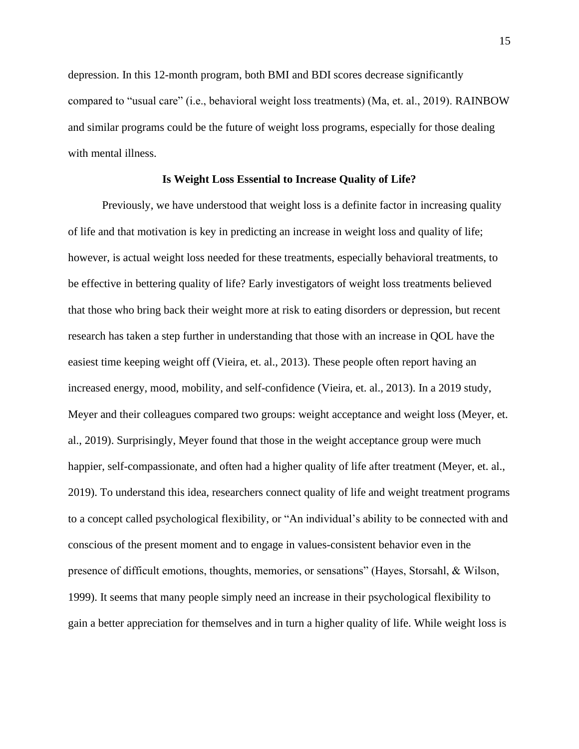depression. In this 12-month program, both BMI and BDI scores decrease significantly compared to "usual care" (i.e., behavioral weight loss treatments) (Ma, et. al., 2019). RAINBOW and similar programs could be the future of weight loss programs, especially for those dealing with mental illness.

#### **Is Weight Loss Essential to Increase Quality of Life?**

Previously, we have understood that weight loss is a definite factor in increasing quality of life and that motivation is key in predicting an increase in weight loss and quality of life; however, is actual weight loss needed for these treatments, especially behavioral treatments, to be effective in bettering quality of life? Early investigators of weight loss treatments believed that those who bring back their weight more at risk to eating disorders or depression, but recent research has taken a step further in understanding that those with an increase in QOL have the easiest time keeping weight off (Vieira, et. al., 2013). These people often report having an increased energy, mood, mobility, and self-confidence (Vieira, et. al., 2013). In a 2019 study, Meyer and their colleagues compared two groups: weight acceptance and weight loss (Meyer, et. al., 2019). Surprisingly, Meyer found that those in the weight acceptance group were much happier, self-compassionate, and often had a higher quality of life after treatment (Meyer, et. al., 2019). To understand this idea, researchers connect quality of life and weight treatment programs to a concept called psychological flexibility, or "An individual's ability to be connected with and conscious of the present moment and to engage in values-consistent behavior even in the presence of difficult emotions, thoughts, memories, or sensations" (Hayes, Storsahl, & Wilson, 1999). It seems that many people simply need an increase in their psychological flexibility to gain a better appreciation for themselves and in turn a higher quality of life. While weight loss is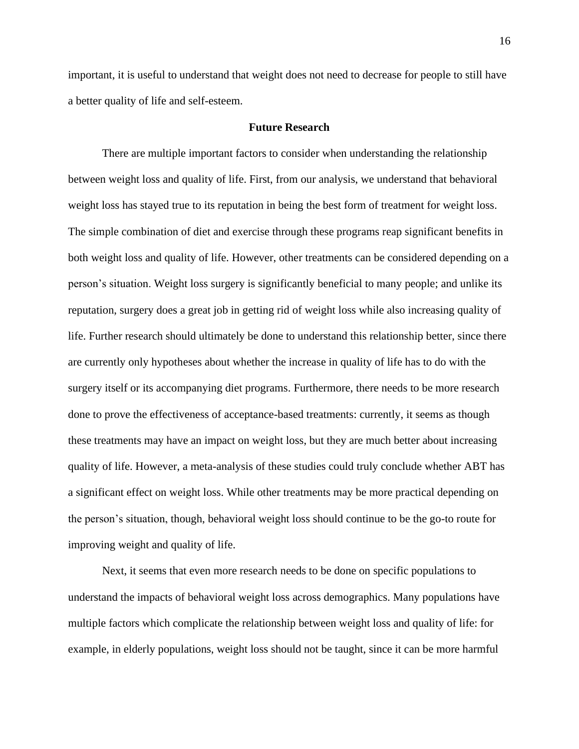important, it is useful to understand that weight does not need to decrease for people to still have a better quality of life and self-esteem.

## **Future Research**

There are multiple important factors to consider when understanding the relationship between weight loss and quality of life. First, from our analysis, we understand that behavioral weight loss has stayed true to its reputation in being the best form of treatment for weight loss. The simple combination of diet and exercise through these programs reap significant benefits in both weight loss and quality of life. However, other treatments can be considered depending on a person's situation. Weight loss surgery is significantly beneficial to many people; and unlike its reputation, surgery does a great job in getting rid of weight loss while also increasing quality of life. Further research should ultimately be done to understand this relationship better, since there are currently only hypotheses about whether the increase in quality of life has to do with the surgery itself or its accompanying diet programs. Furthermore, there needs to be more research done to prove the effectiveness of acceptance-based treatments: currently, it seems as though these treatments may have an impact on weight loss, but they are much better about increasing quality of life. However, a meta-analysis of these studies could truly conclude whether ABT has a significant effect on weight loss. While other treatments may be more practical depending on the person's situation, though, behavioral weight loss should continue to be the go-to route for improving weight and quality of life.

Next, it seems that even more research needs to be done on specific populations to understand the impacts of behavioral weight loss across demographics. Many populations have multiple factors which complicate the relationship between weight loss and quality of life: for example, in elderly populations, weight loss should not be taught, since it can be more harmful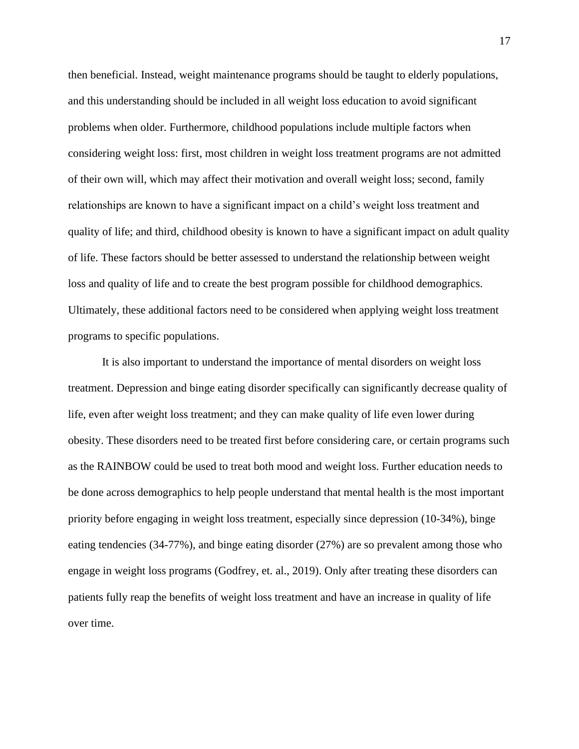then beneficial. Instead, weight maintenance programs should be taught to elderly populations, and this understanding should be included in all weight loss education to avoid significant problems when older. Furthermore, childhood populations include multiple factors when considering weight loss: first, most children in weight loss treatment programs are not admitted of their own will, which may affect their motivation and overall weight loss; second, family relationships are known to have a significant impact on a child's weight loss treatment and quality of life; and third, childhood obesity is known to have a significant impact on adult quality of life. These factors should be better assessed to understand the relationship between weight loss and quality of life and to create the best program possible for childhood demographics. Ultimately, these additional factors need to be considered when applying weight loss treatment programs to specific populations.

It is also important to understand the importance of mental disorders on weight loss treatment. Depression and binge eating disorder specifically can significantly decrease quality of life, even after weight loss treatment; and they can make quality of life even lower during obesity. These disorders need to be treated first before considering care, or certain programs such as the RAINBOW could be used to treat both mood and weight loss. Further education needs to be done across demographics to help people understand that mental health is the most important priority before engaging in weight loss treatment, especially since depression (10-34%), binge eating tendencies (34-77%), and binge eating disorder (27%) are so prevalent among those who engage in weight loss programs (Godfrey, et. al., 2019). Only after treating these disorders can patients fully reap the benefits of weight loss treatment and have an increase in quality of life over time.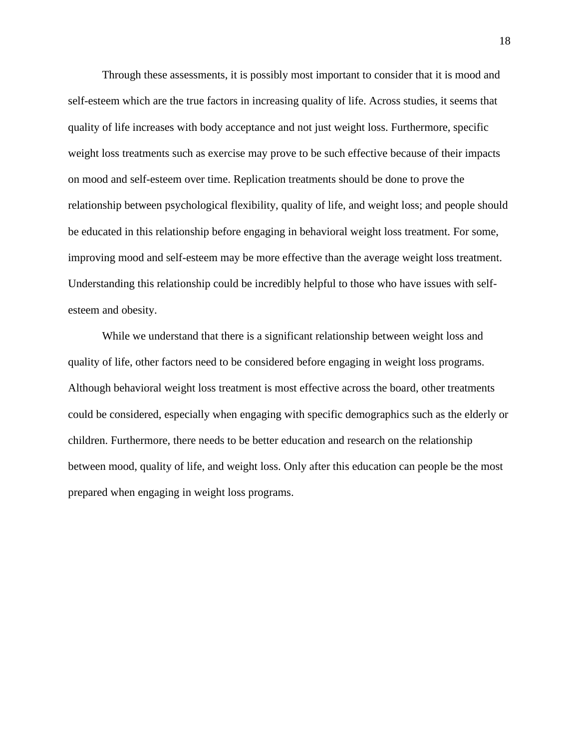Through these assessments, it is possibly most important to consider that it is mood and self-esteem which are the true factors in increasing quality of life. Across studies, it seems that quality of life increases with body acceptance and not just weight loss. Furthermore, specific weight loss treatments such as exercise may prove to be such effective because of their impacts on mood and self-esteem over time. Replication treatments should be done to prove the relationship between psychological flexibility, quality of life, and weight loss; and people should be educated in this relationship before engaging in behavioral weight loss treatment. For some, improving mood and self-esteem may be more effective than the average weight loss treatment. Understanding this relationship could be incredibly helpful to those who have issues with selfesteem and obesity.

While we understand that there is a significant relationship between weight loss and quality of life, other factors need to be considered before engaging in weight loss programs. Although behavioral weight loss treatment is most effective across the board, other treatments could be considered, especially when engaging with specific demographics such as the elderly or children. Furthermore, there needs to be better education and research on the relationship between mood, quality of life, and weight loss. Only after this education can people be the most prepared when engaging in weight loss programs.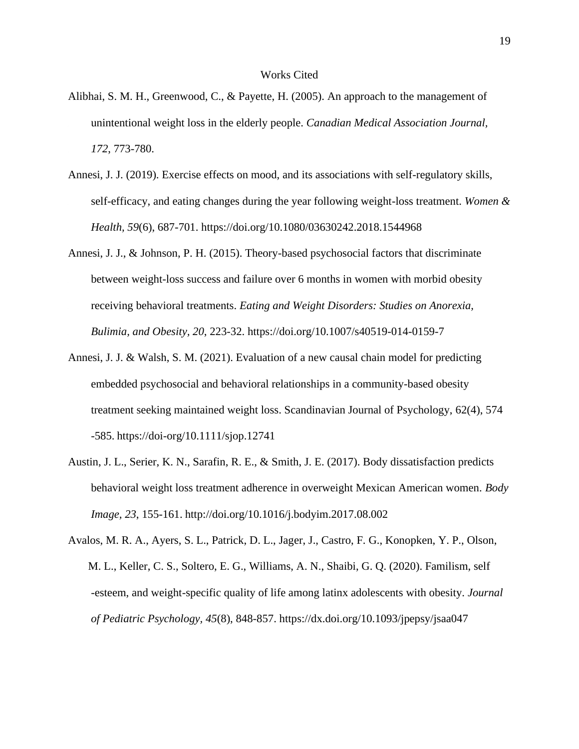#### Works Cited

- Alibhai, S. M. H., Greenwood, C., & Payette, H. (2005). An approach to the management of . unintentional weight loss in the elderly people. *Canadian Medical Association Journal, . 172*, 773-780.
- Annesi, J. J. (2019). Exercise effects on mood, and its associations with self-regulatory skills, . self-efficacy, and eating changes during the year following weight-loss treatment. *Women & . Health, 59*(6), 687-701. https://doi.org/10.1080/03630242.2018.1544968
- Annesi, J. J., & Johnson, P. H. (2015). Theory-based psychosocial factors that discriminate . between weight-loss success and failure over 6 months in women with morbid obesity . receiving behavioral treatments. *Eating and Weight Disorders: Studies on Anorexia, . Bulimia, and Obesity, 20*, 223-32. https://doi.org/10.1007/s40519-014-0159-7
- Annesi, J. J. & Walsh, S. M. (2021). Evaluation of a new causal chain model for predicting . embedded psychosocial and behavioral relationships in a community-based obesity . treatment seeking maintained weight loss. Scandinavian Journal of Psychology, 62(4), 574 . -585. https://doi-org/10.1111/sjop.12741
- Austin, J. L., Serier, K. N., Sarafin, R. E., & Smith, J. E. (2017). Body dissatisfaction predicts . behavioral weight loss treatment adherence in overweight Mexican American women. *Body . Image, 23*, 155-161. http://doi.org/10.1016/j.bodyim.2017.08.002
- Avalos, M. R. A., Ayers, S. L., Patrick, D. L., Jager, J., Castro, F. G., Konopken, Y. P., Olson, . M. L., Keller, C. S., Soltero, E. G., Williams, A. N., Shaibi, G. Q. (2020). Familism, self . -esteem, and weight-specific quality of life among latinx adolescents with obesity. *Journal . of Pediatric Psychology, 45*(8), 848-857. https://dx.doi.org/10.1093/jpepsy/jsaa047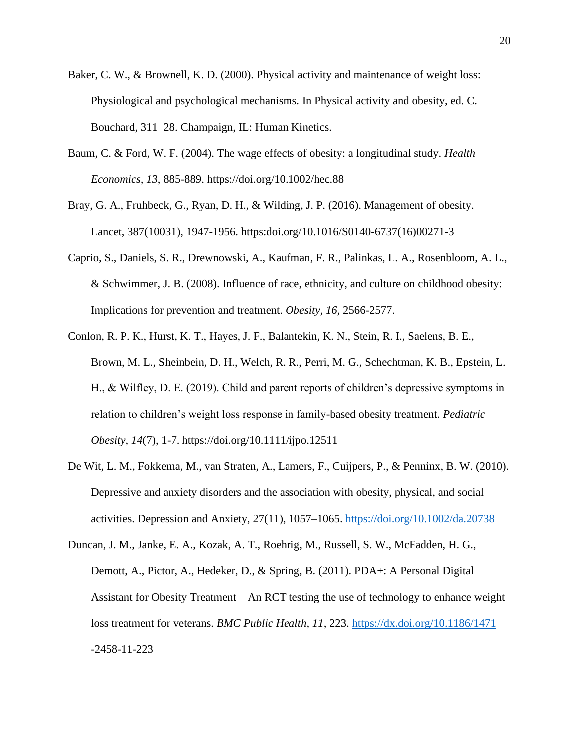- Baker, C. W., & Brownell, K. D. (2000). Physical activity and maintenance of weight loss: . Physiological and psychological mechanisms. In Physical activity and obesity, ed. C. . Bouchard, 311–28. Champaign, IL: Human Kinetics.
- Baum, C. & Ford, W. F. (2004). The wage effects of obesity: a longitudinal study. *Health . Economics, 13*, 885-889. https://doi.org/10.1002/hec.88
- Bray, G. A., Fruhbeck, G., Ryan, D. H., & Wilding, J. P. (2016). Management of obesity. . Lancet, 387(10031), 1947-1956. https:doi.org/10.1016/S0140-6737(16)00271-3
- Caprio, S., Daniels, S. R., Drewnowski, A., Kaufman, F. R., Palinkas, L. A., Rosenbloom, A. L., . & Schwimmer, J. B. (2008). Influence of race, ethnicity, and culture on childhood obesity: . Implications for prevention and treatment. *Obesity, 16,* 2566-2577.
- Conlon, R. P. K., Hurst, K. T., Hayes, J. F., Balantekin, K. N., Stein, R. I., Saelens, B. E., . Brown, M. L., Sheinbein, D. H., Welch, R. R., Perri, M. G., Schechtman, K. B., Epstein, L. . H., & Wilfley, D. E. (2019). Child and parent reports of children's depressive symptoms in . relation to children's weight loss response in family-based obesity treatment. *Pediatric . Obesity, 14*(7), 1-7. https://doi.org/10.1111/ijpo.12511
- De Wit, L. M., Fokkema, M., van Straten, A., Lamers, F., Cuijpers, P., & Penninx, B. W. (2010). . Depressive and anxiety disorders and the association with obesity, physical, and social . activities. Depression and Anxiety, 27(11), 1057–1065.<https://doi.org/10.1002/da.20738>
- Duncan, J. M., Janke, E. A., Kozak, A. T., Roehrig, M., Russell, S. W., McFadden, H. G., . Demott, A., Pictor, A., Hedeker, D., & Spring, B. (2011). PDA+: A Personal Digital . Assistant for Obesity Treatment – An RCT testing the use of technology to enhance weight loss treatment for veterans. *BMC Public Health*, 11, 223. https://dx.doi.org/10.1186/1471 . -2458-11-223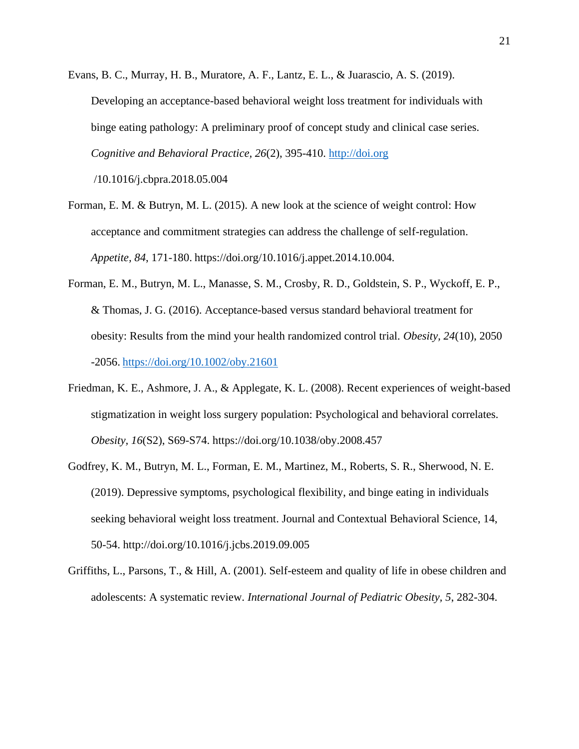- Evans, B. C., Murray, H. B., Muratore, A. F., Lantz, E. L., & Juarascio, A. S. (2019). . Developing an acceptance-based behavioral weight loss treatment for individuals with . binge eating pathology: A preliminary proof of concept study and clinical case series. . *Cognitive and Behavioral Practice, 26*(2), 395-410. [http://doi.org](http://doi.org/)  . /10.1016/j.cbpra.2018.05.004
- Forman, E. M. & Butryn, M. L. (2015). A new look at the science of weight control: How . acceptance and commitment strategies can address the challenge of self-regulation. . *Appetite, 84*, 171-180. https://doi.org/10.1016/j.appet.2014.10.004.
- Forman, E. M., Butryn, M. L., Manasse, S. M., Crosby, R. D., Goldstein, S. P., Wyckoff, E. P., . & Thomas, J. G. (2016). Acceptance-based versus standard behavioral treatment for . obesity: Results from the mind your health randomized control trial. *Obesity, 24*(10), 2050 . -2056. <https://doi.org/10.1002/oby.21601>
- Friedman, K. E., Ashmore, J. A., & Applegate, K. L. (2008). Recent experiences of weight-based . stigmatization in weight loss surgery population: Psychological and behavioral correlates. . *Obesity, 16*(S2), S69-S74. https://doi.org/10.1038/oby.2008.457
- Godfrey, K. M., Butryn, M. L., Forman, E. M., Martinez, M., Roberts, S. R., Sherwood, N. E. . (2019). Depressive symptoms, psychological flexibility, and binge eating in individuals . seeking behavioral weight loss treatment. Journal and Contextual Behavioral Science, 14, . 50-54. http://doi.org/10.1016/j.jcbs.2019.09.005
- Griffiths, L., Parsons, T., & Hill, A. (2001). Self-esteem and quality of life in obese children and . adolescents: A systematic review. *International Journal of Pediatric Obesity, 5*, 282-304.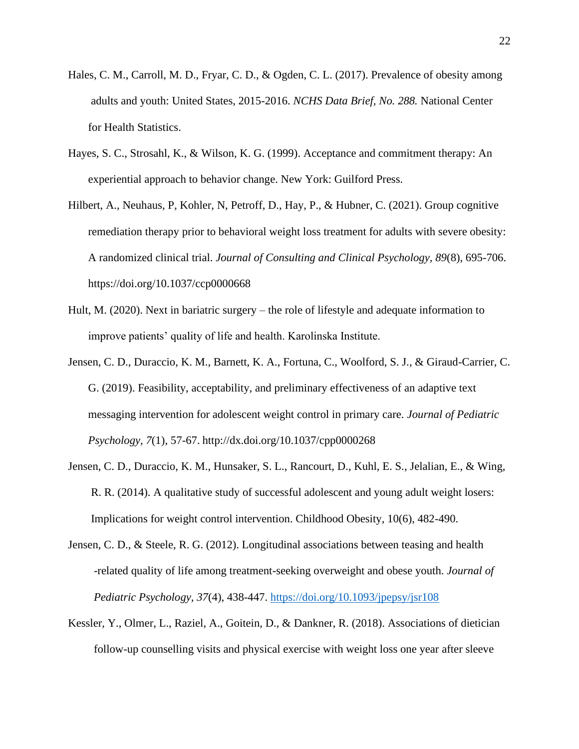- Hales, C. M., Carroll, M. D., Fryar, C. D., & Ogden, C. L. (2017). Prevalence of obesity among . adults and youth: United States, 2015-2016. *NCHS Data Brief, No. 288.* National Center . for Health Statistics.
- Hayes, S. C., Strosahl, K., & Wilson, K. G. (1999). Acceptance and commitment therapy: An . experiential approach to behavior change. New York: Guilford Press.
- Hilbert, A., Neuhaus, P, Kohler, N, Petroff, D., Hay, P., & Hubner, C. (2021). Group cognitive . remediation therapy prior to behavioral weight loss treatment for adults with severe obesity: . A randomized clinical trial. *Journal of Consulting and Clinical Psychology, 89*(8), 695-706. . https://doi.org/10.1037/ccp0000668
- Hult, M. (2020). Next in bariatric surgery the role of lifestyle and adequate information to . improve patients' quality of life and health. Karolinska Institute.
- Jensen, C. D., Duraccio, K. M., Barnett, K. A., Fortuna, C., Woolford, S. J., & Giraud-Carrier, C. . G. (2019). Feasibility, acceptability, and preliminary effectiveness of an adaptive text . messaging intervention for adolescent weight control in primary care. *Journal of Pediatric . Psychology, 7*(1), 57-67. http://dx.doi.org/10.1037/cpp0000268
- Jensen, C. D., Duraccio, K. M., Hunsaker, S. L., Rancourt, D., Kuhl, E. S., Jelalian, E., & Wing, . R. R. (2014). A qualitative study of successful adolescent and young adult weight losers: . Implications for weight control intervention. Childhood Obesity, 10(6), 482-490.
- Jensen, C. D., & Steele, R. G. (2012). Longitudinal associations between teasing and health . -related quality of life among treatment-seeking overweight and obese youth. *Journal of . Pediatric Psychology, 37*(4), 438-447.<https://doi.org/10.1093/jpepsy/jsr108>
- Kessler, Y., Olmer, L., Raziel, A., Goitein, D., & Dankner, R. (2018). Associations of dietician . follow-up counselling visits and physical exercise with weight loss one year after sleeve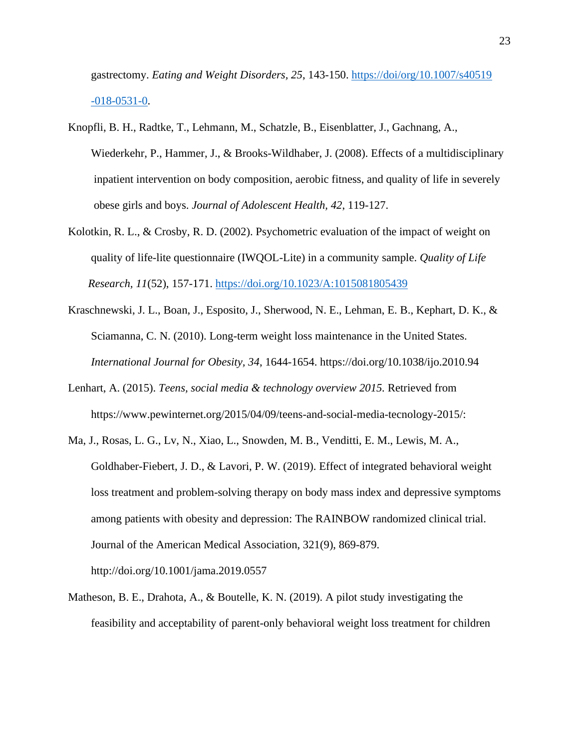. gastrectomy. *Eating and Weight Disorders, 25*, 143-150. [https://doi/org/10.1007/s40519](https://doi/org/10.1007/s40519%20%20%20%20%20%20%20%20%20%20%20%20%20%20%20%20%20%20%20%20%20%20%20.%20%20%20%20%20%20%20%20-018-0531-0)   $-018-0531-0$ .

- Knopfli, B. H., Radtke, T., Lehmann, M., Schatzle, B., Eisenblatter, J., Gachnang, A., . Wiederkehr, P., Hammer, J., & Brooks-Wildhaber, J. (2008). Effects of a multidisciplinary . inpatient intervention on body composition, aerobic fitness, and quality of life in severely . obese girls and boys. *Journal of Adolescent Health, 42*, 119-127.
- Kolotkin, R. L., & Crosby, R. D. (2002). Psychometric evaluation of the impact of weight on . quality of life-lite questionnaire (IWQOL-Lite) in a community sample. *Quality of Life . Research, 11*(52), 157-171.<https://doi.org/10.1023/A:1015081805439>
- Kraschnewski, J. L., Boan, J., Esposito, J., Sherwood, N. E., Lehman, E. B., Kephart, D. K., & . Sciamanna, C. N. (2010). Long-term weight loss maintenance in the United States. . *International Journal for Obesity, 34*, 1644-1654. https://doi.org/10.1038/ijo.2010.94
- Lenhart, A. (2015). *Teens, social media & technology overview 2015.* Retrieved from . https://www.pewinternet.org/2015/04/09/teens-and-social-media-tecnology-2015/:
- Ma, J., Rosas, L. G., Lv, N., Xiao, L., Snowden, M. B., Venditti, E. M., Lewis, M. A., . Goldhaber-Fiebert, J. D., & Lavori, P. W. (2019). Effect of integrated behavioral weight loss treatment and problem-solving therapy on body mass index and depressive symptoms . among patients with obesity and depression: The RAINBOW randomized clinical trial. . Journal of the American Medical Association, 321(9), 869-879. . http://doi.org/10.1001/jama.2019.0557
- Matheson, B. E., Drahota, A., & Boutelle, K. N. (2019). A pilot study investigating the . feasibility and acceptability of parent-only behavioral weight loss treatment for children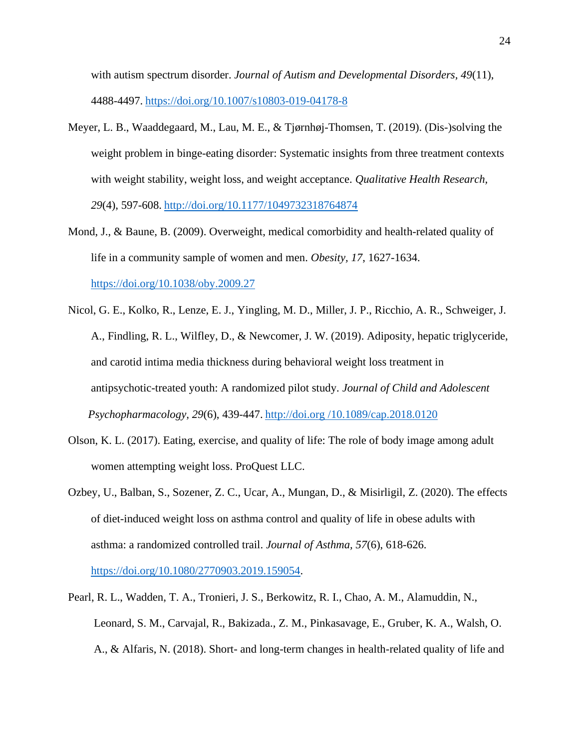. with autism spectrum disorder. *Journal of Autism and Developmental Disorders, 49*(11), . 4488-4497. <https://doi.org/10.1007/s10803-019-04178-8>

- Meyer, L. B., Waaddegaard, M., Lau, M. E., & Tjørnhøj-Thomsen, T. (2019). (Dis-)solving the . weight problem in binge-eating disorder: Systematic insights from three treatment contexts . with weight stability, weight loss, and weight acceptance. *Qualitative Health Research, . 29*(4), 597-608. <http://doi.org/10.1177/1049732318764874>
- Mond, J., & Baune, B. (2009). Overweight, medical comorbidity and health-related quality of . life in a community sample of women and men. *Obesity, 17*, 1627-1634. . <https://doi.org/10.1038/oby.2009.27>
- Nicol, G. E., Kolko, R., Lenze, E. J., Yingling, M. D., Miller, J. P., Ricchio, A. R., Schweiger, J. . A., Findling, R. L., Wilfley, D., & Newcomer, J. W. (2019). Adiposity, hepatic triglyceride, . and carotid intima media thickness during behavioral weight loss treatment in . antipsychotic-treated youth: A randomized pilot study. *Journal of Child and Adolescent . Psychopharmacology, 29*(6), 439-447. http://doi.org /10.1089/cap.2018.0120
- Olson, K. L. (2017). Eating, exercise, and quality of life: The role of body image among adult . women attempting weight loss. ProQuest LLC.
- Ozbey, U., Balban, S., Sozener, Z. C., Ucar, A., Mungan, D., & Misirligil, Z. (2020). The effects . of diet-induced weight loss on asthma control and quality of life in obese adults with . asthma: a randomized controlled trail. *Journal of Asthma, 57*(6), 618-626. . [https://doi.org/10.1080/2770903.2019.159054.](https://doi.org/10.1080/2770903.2019.159054)
- Pearl, R. L., Wadden, T. A., Tronieri, J. S., Berkowitz, R. I., Chao, A. M., Alamuddin, N., . Leonard, S. M., Carvajal, R., Bakizada., Z. M., Pinkasavage, E., Gruber, K. A., Walsh, O. . A., & Alfaris, N. (2018). Short- and long-term changes in health-related quality of life and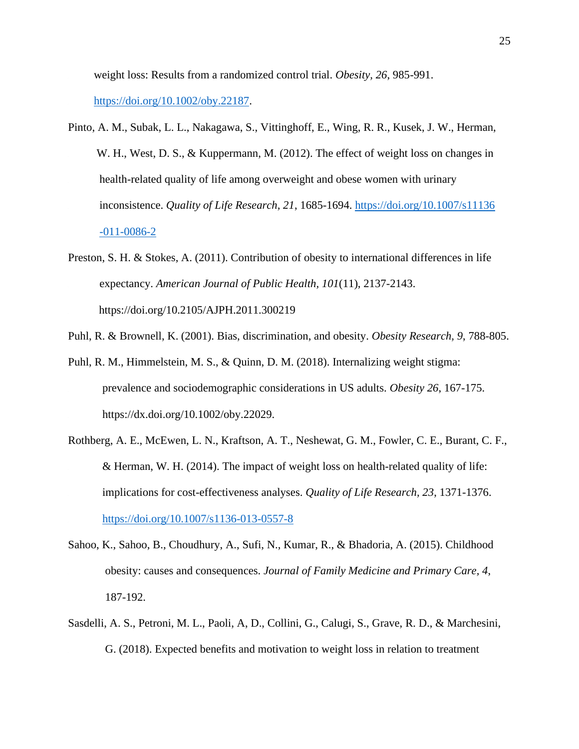. weight loss: Results from a randomized control trial. *Obesity, 26*, 985-991.

. [https://doi.org/10.1002/oby.22187.](https://doi.org/10.1002/oby.22187)

- Pinto, A. M., Subak, L. L., Nakagawa, S., Vittinghoff, E., Wing, R. R., Kusek, J. W., Herman, W. H., West, D. S., & Kuppermann, M. (2012). The effect of weight loss on changes in . health-related quality of life among overweight and obese women with urinary . inconsistence. *Quality of Life Research, 21*, 1685-1694. [https://doi.org/10.1007/s11136](https://doi.org/10.1007/s11136%20%20%20%20%20%20%20%20%20%20%20%20%20%20%20%20%20%20%20%20%20%20%20%20%20%20%20.%20%20%20%20%20%20%20%20%20%20%20-011-0086-2)   $-011-0086-2$
- Preston, S. H. & Stokes, A. (2011). Contribution of obesity to international differences in life . expectancy. *American Journal of Public Health, 101*(11), 2137-2143. . https://doi.org/10.2105/AJPH.2011.300219
- Puhl, R. & Brownell, K. (2001). Bias, discrimination, and obesity. *Obesity Research, 9*, 788-805.
- Puhl, R. M., Himmelstein, M. S., & Quinn, D. M. (2018). Internalizing weight stigma: . prevalence and sociodemographic considerations in US adults. *Obesity 26*, 167-175. . https://dx.doi.org/10.1002/oby.22029.
- Rothberg, A. E., McEwen, L. N., Kraftson, A. T., Neshewat, G. M., Fowler, C. E., Burant, C. F., & Herman, W. H.  $(2014)$ . The impact of weight loss on health-related quality of life: . implications for cost-effectiveness analyses. *Quality of Life Research, 23*, 1371-1376. . <https://doi.org/10.1007/s1136-013-0557-8>
- Sahoo, K., Sahoo, B., Choudhury, A., Sufi, N., Kumar, R., & Bhadoria, A. (2015). Childhood . obesity: causes and consequences. *Journal of Family Medicine and Primary Care, 4*, . 187-192.
- Sasdelli, A. S., Petroni, M. L., Paoli, A, D., Collini, G., Calugi, S., Grave, R. D., & Marchesini, . G. (2018). Expected benefits and motivation to weight loss in relation to treatment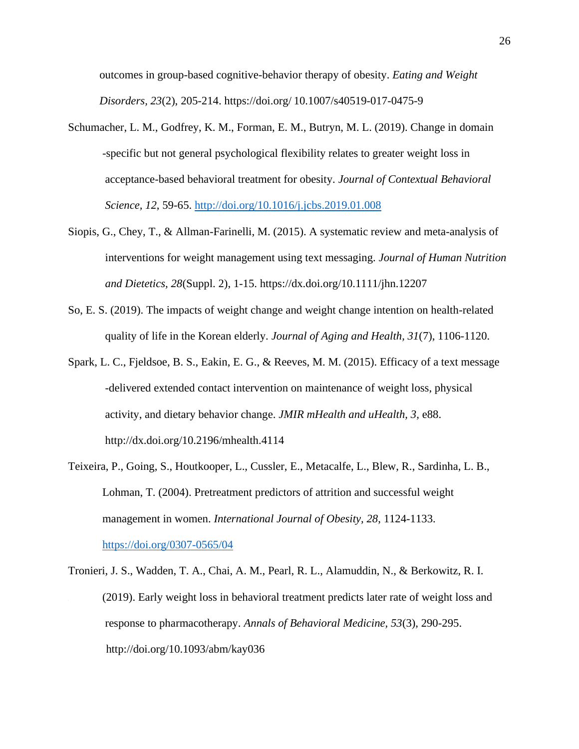. outcomes in group-based cognitive-behavior therapy of obesity. *Eating and Weight . Disorders, 23*(2), 205-214. https://doi.org/ 10.1007/s40519-017-0475-9

- Schumacher, L. M., Godfrey, K. M., Forman, E. M., Butryn, M. L. (2019). Change in domain . -specific but not general psychological flexibility relates to greater weight loss in . acceptance-based behavioral treatment for obesity. *Journal of Contextual Behavioral . Science, 12*, 59-65.<http://doi.org/10.1016/j.jcbs.2019.01.008>
- Siopis, G., Chey, T., & Allman-Farinelli, M. (2015). A systematic review and meta-analysis of . interventions for weight management using text messaging. *Journal of Human Nutrition . and Dietetics, 28*(Suppl. 2), 1-15. https://dx.doi.org/10.1111/jhn.12207
- So, E. S. (2019). The impacts of weight change and weight change intention on health-related . quality of life in the Korean elderly. *Journal of Aging and Health, 31*(7), 1106-1120.
- Spark, L. C., Fjeldsoe, B. S., Eakin, E. G., & Reeves, M. M. (2015). Efficacy of a text message . -delivered extended contact intervention on maintenance of weight loss, physical . activity, and dietary behavior change. *JMIR mHealth and uHealth, 3,* e88. . http://dx.doi.org/10.2196/mhealth.4114
- Teixeira, P., Going, S., Houtkooper, L., Cussler, E., Metacalfe, L., Blew, R., Sardinha, L. B., . Lohman, T. (2004). Pretreatment predictors of attrition and successful weight . management in women. *International Journal of Obesity, 28*, 1124-1133. . <https://doi.org/0307-0565/04>
- Tronieri, J. S., Wadden, T. A., Chai, A. M., Pearl, R. L., Alamuddin, N., & Berkowitz, R. I. \ (2019). Early weight loss in behavioral treatment predicts later rate of weight loss and . response to pharmacotherapy. *Annals of Behavioral Medicine, 53*(3), 290-295. . http://doi.org/10.1093/abm/kay036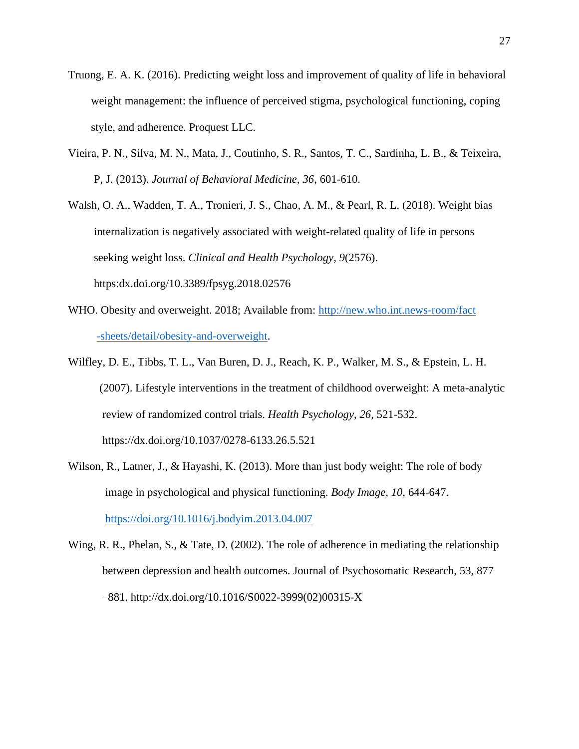- Truong, E. A. K. (2016). Predicting weight loss and improvement of quality of life in behavioral . weight management: the influence of perceived stigma, psychological functioning, coping . style, and adherence. Proquest LLC.
- Vieira, P. N., Silva, M. N., Mata, J., Coutinho, S. R., Santos, T. C., Sardinha, L. B., & Teixeira, . P, J. (2013). *Journal of Behavioral Medicine, 36*, 601-610.
- Walsh, O. A., Wadden, T. A., Tronieri, J. S., Chao, A. M., & Pearl, R. L. (2018). Weight bias . internalization is negatively associated with weight-related quality of life in persons . seeking weight loss. *Clinical and Health Psychology, 9*(2576). . https:dx.doi.org/10.3389/fpsyg.2018.02576
- WHO. Obesity and overweight. 2018; Available from: [http://new.who.int.news-room/fact](http://new.who.int.news-room/fact%20%20%20%20%20%20%20%20%20%20%20%20%20%20%20%20%20%20%20%20%20%20%20%20%20%20%20%20.%20%20%20%20%20%20%20%20%20%20-sheets/detail/obesity-and-overweight)  . [-sheets/detail/obesity-and-overweight.](http://new.who.int.news-room/fact%20%20%20%20%20%20%20%20%20%20%20%20%20%20%20%20%20%20%20%20%20%20%20%20%20%20%20%20.%20%20%20%20%20%20%20%20%20%20-sheets/detail/obesity-and-overweight)
- Wilfley, D. E., Tibbs, T. L., Van Buren, D. J., Reach, K. P., Walker, M. S., & Epstein, L. H. . (2007). Lifestyle interventions in the treatment of childhood overweight: A meta-analytic . review of randomized control trials. *Health Psychology, 26,* 521-532. . https://dx.doi.org/10.1037/0278-6133.26.5.521
- Wilson, R., Latner, J., & Hayashi, K. (2013). More than just body weight: The role of body . image in psychological and physical functioning. *Body Image, 10*, 644-647. . <https://doi.org/10.1016/j.bodyim.2013.04.007>
- Wing, R. R., Phelan, S., & Tate, D. (2002). The role of adherence in mediating the relationship . between depression and health outcomes. Journal of Psychosomatic Research, 53, 877 . –881. http://dx.doi.org/10.1016/S0022-3999(02)00315-X